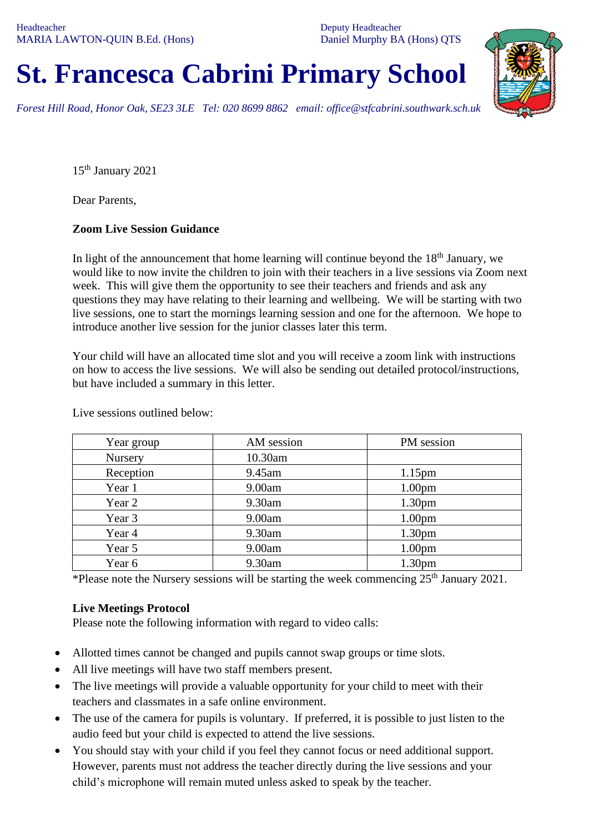Deputy Headteacher Daniel Murphy BA (Hons) QTS

## **St. Francesca Cabrini Primary School**

*Forest Hill Road, Honor Oak, SE23 3LE Tel: 020 8699 8862 email: office@stfcabrini.southwark.sch.uk*

15th January 2021

Dear Parents,

## **Zoom Live Session Guidance**

In light of the announcement that home learning will continue beyond the  $18<sup>th</sup>$  January, we would like to now invite the children to join with their teachers in a live sessions via Zoom next week. This will give them the opportunity to see their teachers and friends and ask any questions they may have relating to their learning and wellbeing. We will be starting with two live sessions, one to start the mornings learning session and one for the afternoon. We hope to introduce another live session for the junior classes later this term.

Your child will have an allocated time slot and you will receive a zoom link with instructions on how to access the live sessions. We will also be sending out detailed protocol/instructions, but have included a summary in this letter.

| Year group | AM session | PM session         |
|------------|------------|--------------------|
| Nursery    | 10.30am    |                    |
| Reception  | 9.45am     | 1.15 <sub>pm</sub> |
| Year 1     | 9.00am     | 1.00 <sub>pm</sub> |
| Year 2     | 9.30am     | 1.30 <sub>pm</sub> |
| Year 3     | 9.00am     | 1.00 <sub>pm</sub> |
| Year 4     | 9.30am     | 1.30 <sub>pm</sub> |
| Year 5     | 9.00am     | 1.00 <sub>pm</sub> |
| Year 6     | 9.30am     | 1.30 <sub>pm</sub> |

Live sessions outlined below:

\*Please note the Nursery sessions will be starting the week commencing  $25<sup>th</sup>$  January 2021.

## **Live Meetings Protocol**

Please note the following information with regard to video calls:

- Allotted times cannot be changed and pupils cannot swap groups or time slots.
- All live meetings will have two staff members present.
- The live meetings will provide a valuable opportunity for your child to meet with their teachers and classmates in a safe online environment.
- The use of the camera for pupils is voluntary. If preferred, it is possible to just listen to the audio feed but your child is expected to attend the live sessions.
- You should stay with your child if you feel they cannot focus or need additional support. However, parents must not address the teacher directly during the live sessions and your child's microphone will remain muted unless asked to speak by the teacher.